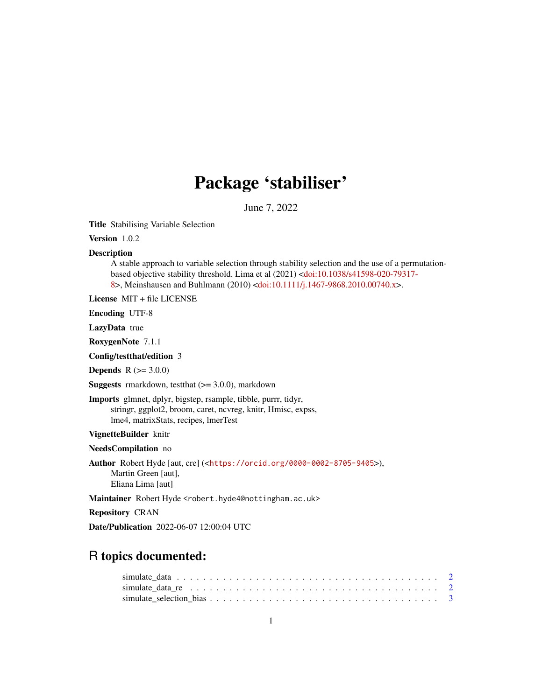## Package 'stabiliser'

June 7, 2022

Title Stabilising Variable Selection

Version 1.0.2

#### **Description**

A stable approach to variable selection through stability selection and the use of a permutationbased objective stability threshold. Lima et al (2021) [<doi:10.1038/s41598-020-79317-](https://doi.org/10.1038/s41598-020-79317-8) [8>](https://doi.org/10.1038/s41598-020-79317-8), Meinshausen and Buhlmann (2010) [<doi:10.1111/j.1467-9868.2010.00740.x>](https://doi.org/10.1111/j.1467-9868.2010.00740.x).

License MIT + file LICENSE

Encoding UTF-8

LazyData true

RoxygenNote 7.1.1

Config/testthat/edition 3

**Depends**  $R (= 3.0.0)$ 

**Suggests** rmarkdown, test that  $(>= 3.0.0)$ , markdown

Imports glmnet, dplyr, bigstep, rsample, tibble, purrr, tidyr, stringr, ggplot2, broom, caret, ncvreg, knitr, Hmisc, expss, lme4, matrixStats, recipes, lmerTest

VignetteBuilder knitr

NeedsCompilation no

Author Robert Hyde [aut, cre] (<<https://orcid.org/0000-0002-8705-9405>>), Martin Green [aut], Eliana Lima [aut]

Maintainer Robert Hyde <robert.hyde4@nottingham.ac.uk>

Repository CRAN

Date/Publication 2022-06-07 12:00:04 UTC

### R topics documented: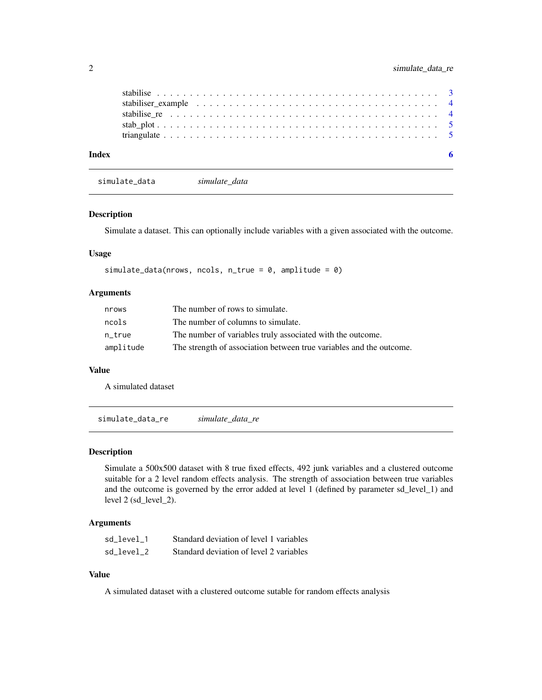<span id="page-1-0"></span>

| Index |  |  |  |  |  |  |  |  |  |  |  |  |  |  |  |  |  |
|-------|--|--|--|--|--|--|--|--|--|--|--|--|--|--|--|--|--|

simulate\_data *simulate\_data*

#### Description

Simulate a dataset. This can optionally include variables with a given associated with the outcome.

#### Usage

simulate\_data(nrows, ncols, n\_true =  $0$ , amplitude =  $0$ )

#### Arguments

| nrows     | The number of rows to simulate.                                     |
|-----------|---------------------------------------------------------------------|
| ncols     | The number of columns to simulate.                                  |
| n true    | The number of variables truly associated with the outcome.          |
| amplitude | The strength of association between true variables and the outcome. |

#### Value

A simulated dataset

simulate\_data\_re *simulate\_data\_re*

#### Description

Simulate a 500x500 dataset with 8 true fixed effects, 492 junk variables and a clustered outcome suitable for a 2 level random effects analysis. The strength of association between true variables and the outcome is governed by the error added at level 1 (defined by parameter sd\_level\_1) and level 2 (sd\_level\_2).

#### Arguments

| sd level 1 | Standard deviation of level 1 variables |
|------------|-----------------------------------------|
| sd level 2 | Standard deviation of level 2 variables |

#### Value

A simulated dataset with a clustered outcome sutable for random effects analysis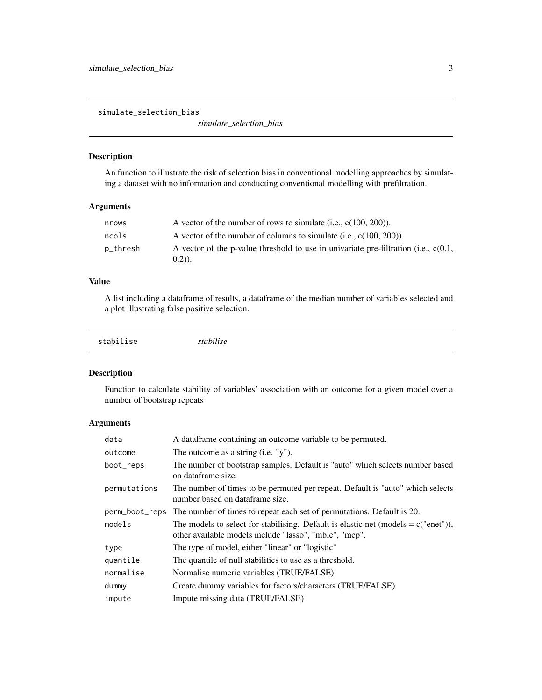<span id="page-2-0"></span>simulate\_selection\_bias

*simulate\_selection\_bias*

#### Description

An function to illustrate the risk of selection bias in conventional modelling approaches by simulating a dataset with no information and conducting conventional modelling with prefiltration.

#### Arguments

| nrows    | A vector of the number of rows to simulate (i.e., $c(100, 200)$ ).                                   |
|----------|------------------------------------------------------------------------------------------------------|
| ncols    | A vector of the number of columns to simulate (i.e., $c(100, 200)$ ).                                |
| p_thresh | A vector of the p-value threshold to use in univariate pre-filtration (i.e., $c(0.1)$ ,<br>$(0.2)$ . |

#### Value

A list including a dataframe of results, a dataframe of the median number of variables selected and a plot illustrating false positive selection.

| stabilise<br>stabilise |  |  |
|------------------------|--|--|
|------------------------|--|--|

#### Description

Function to calculate stability of variables' association with an outcome for a given model over a number of bootstrap repeats

#### Arguments

| data           | A dataframe containing an outcome variable to be permuted.                                                                                    |
|----------------|-----------------------------------------------------------------------------------------------------------------------------------------------|
| outcome        | The outcome as a string $(i.e. "y")$ .                                                                                                        |
| boot_reps      | The number of bootstrap samples. Default is "auto" which selects number based<br>on dataframe size.                                           |
| permutations   | The number of times to be permuted per repeat. Default is "auto" which selects<br>number based on dataframe size.                             |
| perm_boot_reps | The number of times to repeat each set of permutations. Default is 20.                                                                        |
| models         | The models to select for stabilising. Default is elastic net (models = $c("enet"),$<br>other available models include "lasso", "mbic", "mcp". |
| type           | The type of model, either "linear" or "logistic"                                                                                              |
| quantile       | The quantile of null stabilities to use as a threshold.                                                                                       |
| normalise      | Normalise numeric variables (TRUE/FALSE)                                                                                                      |
| dummy          | Create dummy variables for factors/characters (TRUE/FALSE)                                                                                    |
| impute         | Impute missing data (TRUE/FALSE)                                                                                                              |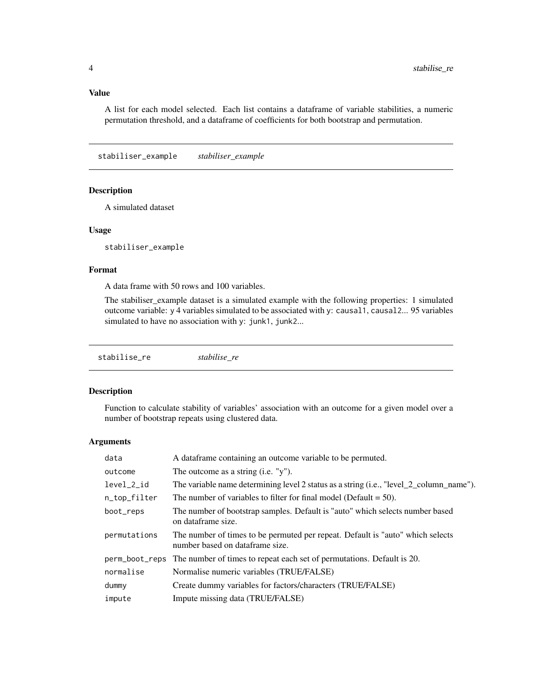#### <span id="page-3-0"></span>Value

A list for each model selected. Each list contains a dataframe of variable stabilities, a numeric permutation threshold, and a dataframe of coefficients for both bootstrap and permutation.

stabiliser\_example *stabiliser\_example*

#### Description

A simulated dataset

#### Usage

stabiliser\_example

#### Format

A data frame with 50 rows and 100 variables.

The stabiliser\_example dataset is a simulated example with the following properties: 1 simulated outcome variable: y 4 variables simulated to be associated with y: causal1, causal2... 95 variables simulated to have no association with y: junk1, junk2...

#### Description

Function to calculate stability of variables' association with an outcome for a given model over a number of bootstrap repeats using clustered data.

#### Arguments

| data         | A data frame containing an outcome variable to be permuted.                                                       |
|--------------|-------------------------------------------------------------------------------------------------------------------|
| outcome      | The outcome as a string $(i.e. "y")$ .                                                                            |
| level_2_id   | The variable name determining level 2 status as a string (i.e., "level 2 column_name").                           |
| n_top_filter | The number of variables to filter for final model (Default $= 50$ ).                                              |
| boot_reps    | The number of bootstrap samples. Default is "auto" which selects number based<br>on dataframe size.               |
| permutations | The number of times to be permuted per repeat. Default is "auto" which selects<br>number based on dataframe size. |
|              | perm_boot_reps The number of times to repeat each set of permutations. Default is 20.                             |
| normalise    | Normalise numeric variables (TRUE/FALSE)                                                                          |
| dummy        | Create dummy variables for factors/characters (TRUE/FALSE)                                                        |
| impute       | Impute missing data (TRUE/FALSE)                                                                                  |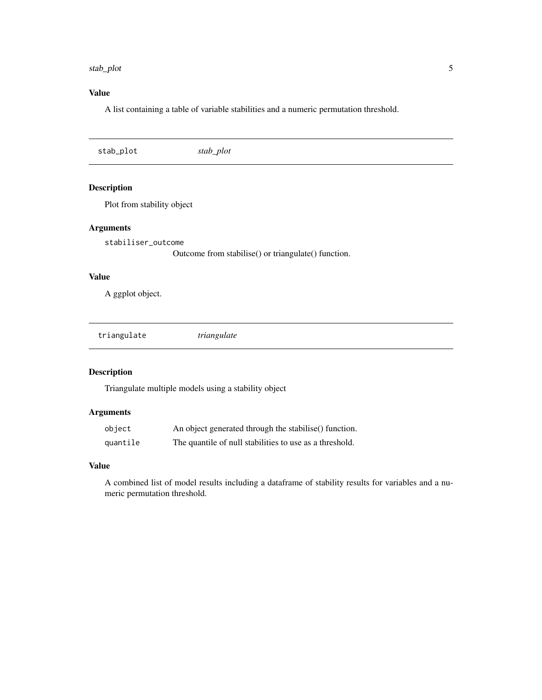#### <span id="page-4-0"></span>stab\_plot 5

#### Value

A list containing a table of variable stabilities and a numeric permutation threshold.

stab\_plot *stab\_plot*

#### Description

Plot from stability object

#### Arguments

stabiliser\_outcome

Outcome from stabilise() or triangulate() function.

#### Value

A ggplot object.

triangulate *triangulate*

#### Description

Triangulate multiple models using a stability object

#### Arguments

| object   | An object generated through the stabilise () function.  |
|----------|---------------------------------------------------------|
| quantile | The quantile of null stabilities to use as a threshold. |

#### Value

A combined list of model results including a dataframe of stability results for variables and a numeric permutation threshold.